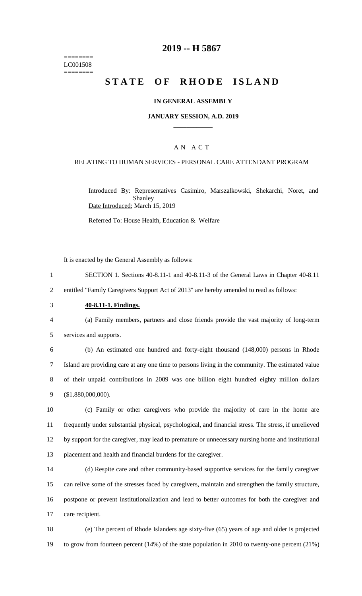======== LC001508 ========

### **2019 -- H 5867**

# **STATE OF RHODE ISLAND**

#### **IN GENERAL ASSEMBLY**

#### **JANUARY SESSION, A.D. 2019 \_\_\_\_\_\_\_\_\_\_\_\_**

### A N A C T

#### RELATING TO HUMAN SERVICES - PERSONAL CARE ATTENDANT PROGRAM

Introduced By: Representatives Casimiro, Marszalkowski, Shekarchi, Noret, and Shanley Date Introduced: March 15, 2019

Referred To: House Health, Education & Welfare

It is enacted by the General Assembly as follows:

1 SECTION 1. Sections 40-8.11-1 and 40-8.11-3 of the General Laws in Chapter 40-8.11

2 entitled "Family Caregivers Support Act of 2013" are hereby amended to read as follows:

3 **40-8.11-1. Findings.**

4 (a) Family members, partners and close friends provide the vast majority of long-term 5 services and supports.

 (b) An estimated one hundred and forty-eight thousand (148,000) persons in Rhode Island are providing care at any one time to persons living in the community. The estimated value of their unpaid contributions in 2009 was one billion eight hundred eighty million dollars (\$1,880,000,000).

 (c) Family or other caregivers who provide the majority of care in the home are frequently under substantial physical, psychological, and financial stress. The stress, if unrelieved by support for the caregiver, may lead to premature or unnecessary nursing home and institutional placement and health and financial burdens for the caregiver.

 (d) Respite care and other community-based supportive services for the family caregiver can relive some of the stresses faced by caregivers, maintain and strengthen the family structure, postpone or prevent institutionalization and lead to better outcomes for both the caregiver and care recipient.

18 (e) The percent of Rhode Islanders age sixty-five (65) years of age and older is projected 19 to grow from fourteen percent (14%) of the state population in 2010 to twenty-one percent (21%)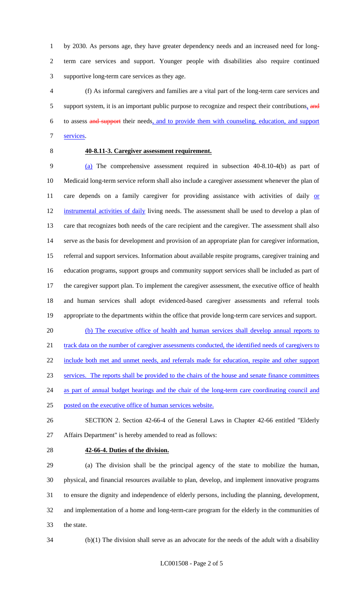by 2030. As persons age, they have greater dependency needs and an increased need for long- term care services and support. Younger people with disabilities also require continued supportive long-term care services as they age.

 (f) As informal caregivers and families are a vital part of the long-term care services and 5 support system, it is an important public purpose to recognize and respect their contributions, and to assess and support their needs, and to provide them with counseling, education, and support services.

### **40-8.11-3. Caregiver assessment requirement.**

 (a) The comprehensive assessment required in subsection 40-8.10-4(b) as part of Medicaid long-term service reform shall also include a caregiver assessment whenever the plan of 11 care depends on a family caregiver for providing assistance with activities of daily or instrumental activities of daily living needs. The assessment shall be used to develop a plan of care that recognizes both needs of the care recipient and the caregiver. The assessment shall also serve as the basis for development and provision of an appropriate plan for caregiver information, referral and support services. Information about available respite programs, caregiver training and education programs, support groups and community support services shall be included as part of the caregiver support plan. To implement the caregiver assessment, the executive office of health and human services shall adopt evidenced-based caregiver assessments and referral tools appropriate to the departments within the office that provide long-term care services and support.

20 (b) The executive office of health and human services shall develop annual reports to 21 track data on the number of caregiver assessments conducted, the identified needs of caregivers to include both met and unmet needs, and referrals made for education, respite and other support services. The reports shall be provided to the chairs of the house and senate finance committees 24 as part of annual budget hearings and the chair of the long-term care coordinating council and

posted on the executive office of human services website.

 SECTION 2. Section 42-66-4 of the General Laws in Chapter 42-66 entitled "Elderly Affairs Department" is hereby amended to read as follows:

#### **42-66-4. Duties of the division.**

 (a) The division shall be the principal agency of the state to mobilize the human, physical, and financial resources available to plan, develop, and implement innovative programs to ensure the dignity and independence of elderly persons, including the planning, development, and implementation of a home and long-term-care program for the elderly in the communities of the state.

(b)(1) The division shall serve as an advocate for the needs of the adult with a disability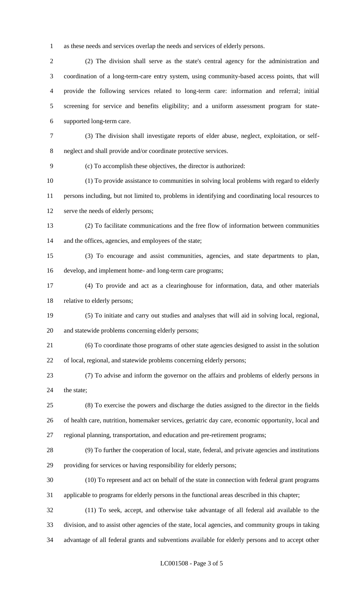as these needs and services overlap the needs and services of elderly persons.

 (2) The division shall serve as the state's central agency for the administration and coordination of a long-term-care entry system, using community-based access points, that will provide the following services related to long-term care: information and referral; initial screening for service and benefits eligibility; and a uniform assessment program for state-supported long-term care.

 (3) The division shall investigate reports of elder abuse, neglect, exploitation, or self-neglect and shall provide and/or coordinate protective services.

(c) To accomplish these objectives, the director is authorized:

 (1) To provide assistance to communities in solving local problems with regard to elderly persons including, but not limited to, problems in identifying and coordinating local resources to serve the needs of elderly persons;

- (2) To facilitate communications and the free flow of information between communities 14 and the offices, agencies, and employees of the state;
- (3) To encourage and assist communities, agencies, and state departments to plan, develop, and implement home- and long-term care programs;
- (4) To provide and act as a clearinghouse for information, data, and other materials relative to elderly persons;
- (5) To initiate and carry out studies and analyses that will aid in solving local, regional, and statewide problems concerning elderly persons;
- (6) To coordinate those programs of other state agencies designed to assist in the solution of local, regional, and statewide problems concerning elderly persons;
- (7) To advise and inform the governor on the affairs and problems of elderly persons in 24 the state:
- (8) To exercise the powers and discharge the duties assigned to the director in the fields of health care, nutrition, homemaker services, geriatric day care, economic opportunity, local and regional planning, transportation, and education and pre-retirement programs;
- (9) To further the cooperation of local, state, federal, and private agencies and institutions
- providing for services or having responsibility for elderly persons;
- (10) To represent and act on behalf of the state in connection with federal grant programs applicable to programs for elderly persons in the functional areas described in this chapter;
- (11) To seek, accept, and otherwise take advantage of all federal aid available to the division, and to assist other agencies of the state, local agencies, and community groups in taking advantage of all federal grants and subventions available for elderly persons and to accept other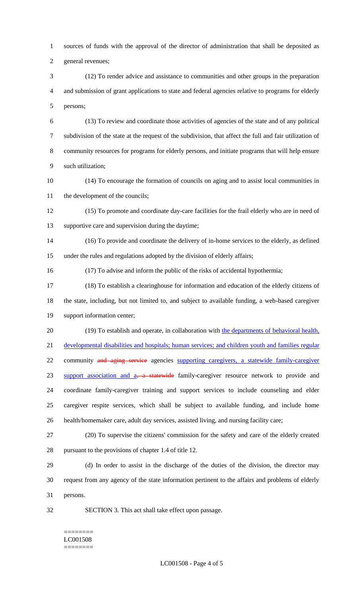sources of funds with the approval of the director of administration that shall be deposited as

general revenues;

 (12) To render advice and assistance to communities and other groups in the preparation and submission of grant applications to state and federal agencies relative to programs for elderly persons;

 (13) To review and coordinate those activities of agencies of the state and of any political subdivision of the state at the request of the subdivision, that affect the full and fair utilization of community resources for programs for elderly persons, and initiate programs that will help ensure such utilization;

 (14) To encourage the formation of councils on aging and to assist local communities in 11 the development of the councils;

 (15) To promote and coordinate day-care facilities for the frail elderly who are in need of supportive care and supervision during the daytime;

 (16) To provide and coordinate the delivery of in-home services to the elderly, as defined under the rules and regulations adopted by the division of elderly affairs;

(17) To advise and inform the public of the risks of accidental hypothermia;

 (18) To establish a clearinghouse for information and education of the elderly citizens of the state, including, but not limited to, and subject to available funding, a web-based caregiver support information center;

20 (19) To establish and operate, in collaboration with the departments of behavioral health, developmental disabilities and hospitals; human services; and children youth and families regular 22 community and aging service agencies supporting caregivers, a statewide family-caregiver 23 support association and a<sub>2</sub> a statewide family-caregiver resource network to provide and coordinate family-caregiver training and support services to include counseling and elder caregiver respite services, which shall be subject to available funding, and include home health/homemaker care, adult day services, assisted living, and nursing facility care;

 (20) To supervise the citizens' commission for the safety and care of the elderly created pursuant to the provisions of chapter 1.4 of title 12.

 (d) In order to assist in the discharge of the duties of the division, the director may request from any agency of the state information pertinent to the affairs and problems of elderly persons.

SECTION 3. This act shall take effect upon passage.

#### ======== LC001508 ========